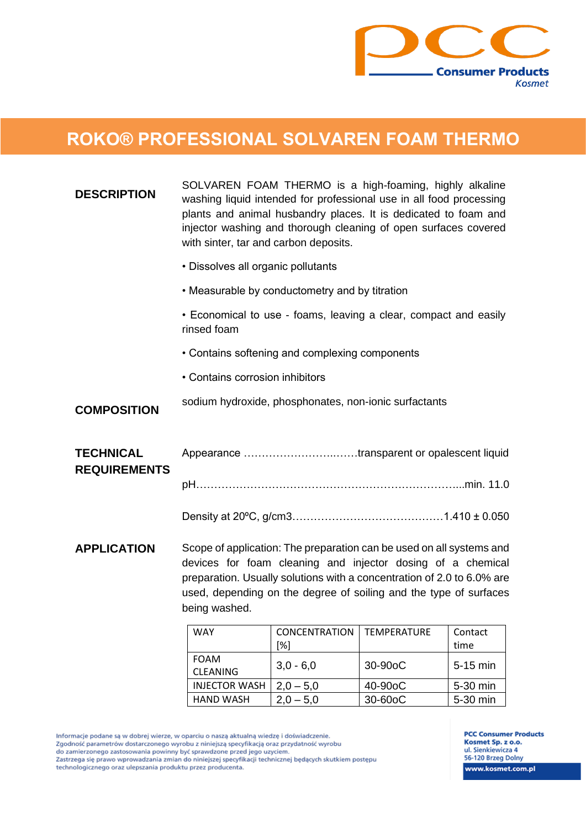

## **ROKO® PROFESSIONAL SOLVAREN FOAM THERMO**

| <b>DESCRIPTION</b>                      | SOLVAREN FOAM THERMO is a high-foaming, highly alkaline<br>washing liquid intended for professional use in all food processing<br>plants and animal husbandry places. It is dedicated to foam and<br>injector washing and thorough cleaning of open surfaces covered<br>with sinter, tar and carbon deposits. |                             |                    |                 |  |
|-----------------------------------------|---------------------------------------------------------------------------------------------------------------------------------------------------------------------------------------------------------------------------------------------------------------------------------------------------------------|-----------------------------|--------------------|-----------------|--|
|                                         | • Dissolves all organic pollutants                                                                                                                                                                                                                                                                            |                             |                    |                 |  |
|                                         | • Measurable by conductometry and by titration                                                                                                                                                                                                                                                                |                             |                    |                 |  |
|                                         | • Economical to use - foams, leaving a clear, compact and easily<br>rinsed foam                                                                                                                                                                                                                               |                             |                    |                 |  |
|                                         | • Contains softening and complexing components                                                                                                                                                                                                                                                                |                             |                    |                 |  |
|                                         | • Contains corrosion inhibitors                                                                                                                                                                                                                                                                               |                             |                    |                 |  |
| <b>COMPOSITION</b>                      | sodium hydroxide, phosphonates, non-ionic surfactants                                                                                                                                                                                                                                                         |                             |                    |                 |  |
| <b>TECHNICAL</b><br><b>REQUIREMENTS</b> | Appearance transparent or opalescent liquid                                                                                                                                                                                                                                                                   |                             |                    |                 |  |
|                                         |                                                                                                                                                                                                                                                                                                               |                             |                    |                 |  |
|                                         |                                                                                                                                                                                                                                                                                                               |                             |                    |                 |  |
| <b>APPLICATION</b>                      | Scope of application: The preparation can be used on all systems and<br>devices for foam cleaning and injector dosing of a chemical<br>preparation. Usually solutions with a concentration of 2.0 to 6.0% are<br>used, depending on the degree of soiling and the type of surfaces<br>being washed.           |                             |                    |                 |  |
|                                         | <b>WAY</b>                                                                                                                                                                                                                                                                                                    | <b>CONCENTRATION</b><br>[%] | <b>TEMPERATURE</b> | Contact<br>time |  |

| <b>WAY</b>           | <b>CONCENTRATION</b> | <b>TEMPERATURE</b>   | Contact    |
|----------------------|----------------------|----------------------|------------|
|                      | [%]                  |                      | time       |
| <b>FOAM</b>          | $3.0 - 6.0$          | 30-90 <sub>o</sub> C | $5-15$ min |
| <b>CLEANING</b>      |                      |                      |            |
| <b>INJECTOR WASH</b> | $2.0 - 5.0$          | 40-90 <sub>o</sub> C | 5-30 min   |
| <b>HAND WASH</b>     | $2.0-5.0$            | 30-60oC              | 5-30 min   |

Informacje podane są w dobrej wierze, w oparciu o naszą aktualną wiedzę i doświadczenie.<br>Zgodność parametrów dostarczonego wyrobu z niniejszą specyfikacją oraz przydatność wyrobu<br>do zamierzonego zastosowania powinny być sp technologicznego oraz ulepszania produktu przez producenta.